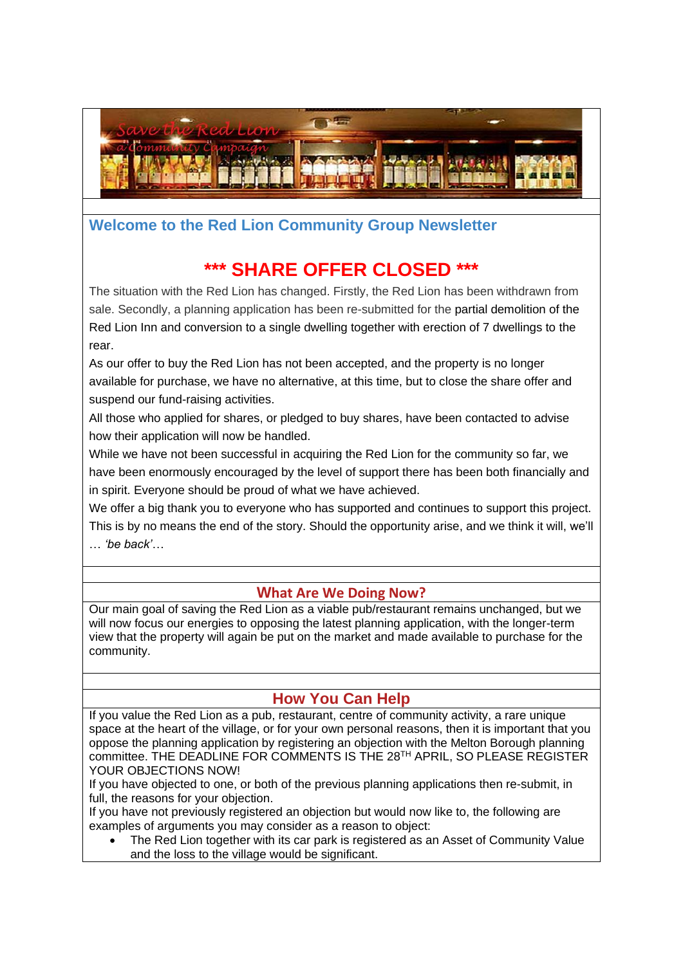

## **Welcome to the Red Lion Community Group Newsletter**

# **SHARE OFFER CLOSED**

The situation with the Red Lion has changed. Firstly, the Red Lion has been withdrawn from sale. Secondly, a planning application has been re-submitted for the partial demolition of the Red Lion Inn and conversion to a single dwelling together with erection of 7 dwellings to the rear.

As our offer to buy the Red Lion has not been accepted, and the property is no longer available for purchase, we have no alternative, at this time, but to close the share offer and suspend our fund-raising activities.

All those who applied for shares, or pledged to buy shares, have been contacted to advise how their application will now be handled.

While we have not been successful in acquiring the Red Lion for the community so far, we have been enormously encouraged by the level of support there has been both financially and in spirit. Everyone should be proud of what we have achieved.

We offer a big thank you to everyone who has supported and continues to support this project. This is by no means the end of the story. Should the opportunity arise, and we think it will, we'll … *'be back'*…

## **What Are We Doing Now?**

Our main goal of saving the Red Lion as a viable pub/restaurant remains unchanged, but we will now focus our energies to opposing the latest planning application, with the longer-term view that the property will again be put on the market and made available to purchase for the community.

## **How You Can Help**

If you value the Red Lion as a pub, restaurant, centre of community activity, a rare unique space at the heart of the village, or for your own personal reasons, then it is important that you oppose the planning application by registering an objection with the Melton Borough planning committee. THE DEADLINE FOR COMMENTS IS THE 28TH APRIL, SO PLEASE REGISTER YOUR OBJECTIONS NOW!

If you have objected to one, or both of the previous planning applications then re-submit, in full, the reasons for your objection.

If you have not previously registered an objection but would now like to, the following are examples of arguments you may consider as a reason to object:

• The Red Lion together with its car park is registered as an Asset of Community Value and the loss to the village would be significant.